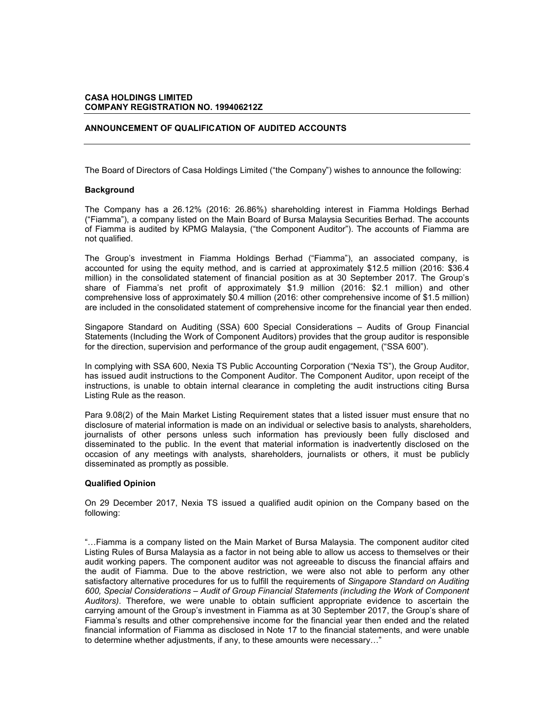## **CASA HOLDINGS LIMITED COMPANY REGISTRATION NO. 199406212Z**

### **ANNOUNCEMENT OF QUALIFICATION OF AUDITED ACCOUNTS**

The Board of Directors of Casa Holdings Limited ("the Company") wishes to announce the following:

#### **Background**

The Company has a 26.12% (2016: 26.86%) shareholding interest in Fiamma Holdings Berhad ("Fiamma"), a company listed on the Main Board of Bursa Malaysia Securities Berhad. The accounts of Fiamma is audited by KPMG Malaysia, ("the Component Auditor"). The accounts of Fiamma are not qualified.

The Group's investment in Fiamma Holdings Berhad ("Fiamma"), an associated company, is accounted for using the equity method, and is carried at approximately \$12.5 million (2016: \$36.4 million) in the consolidated statement of financial position as at 30 September 2017. The Group's share of Fiamma's net profit of approximately \$1.9 million (2016: \$2.1 million) and other comprehensive loss of approximately \$0.4 million (2016: other comprehensive income of \$1.5 million) are included in the consolidated statement of comprehensive income for the financial year then ended.

Singapore Standard on Auditing (SSA) 600 Special Considerations – Audits of Group Financial Statements (Including the Work of Component Auditors) provides that the group auditor is responsible for the direction, supervision and performance of the group audit engagement, ("SSA 600").

In complying with SSA 600, Nexia TS Public Accounting Corporation ("Nexia TS"), the Group Auditor, has issued audit instructions to the Component Auditor. The Component Auditor, upon receipt of the instructions, is unable to obtain internal clearance in completing the audit instructions citing Bursa Listing Rule as the reason.

Para 9.08(2) of the Main Market Listing Requirement states that a listed issuer must ensure that no disclosure of material information is made on an individual or selective basis to analysts, shareholders, journalists of other persons unless such information has previously been fully disclosed and disseminated to the public. In the event that material information is inadvertently disclosed on the occasion of any meetings with analysts, shareholders, journalists or others, it must be publicly disseminated as promptly as possible.

# **Qualified Opinion**

On 29 December 2017, Nexia TS issued a qualified audit opinion on the Company based on the following:

"...Fiamma is a company listed on the Main Market of Bursa Malaysia. The component auditor cited Listing Rules of Bursa Malaysia as a factor in not being able to allow us access to themselves or their audit working papers. The component auditor was not agreeable to discuss the financial affairs and the audit of Fiamma. Due to the above restriction, we were also not able to perform any other satisfactory alternative procedures for us to fulfill the requirements of *Singapore Standard on Auditing 600, Special Considerations – Audit of Group Financial Statements (including the Work of Component Auditors)*. Therefore, we were unable to obtain sufficient appropriate evidence to ascertain the carrying amount of the Group's investment in Fiamma as at 30 September 2017, the Group's share of Fiamma's results and other comprehensive income for the financial year then ended and the related financial information of Fiamma as disclosed in Note 17 to the financial statements, and were unable to determine whether adjustments, if any, to these amounts were necessary..."